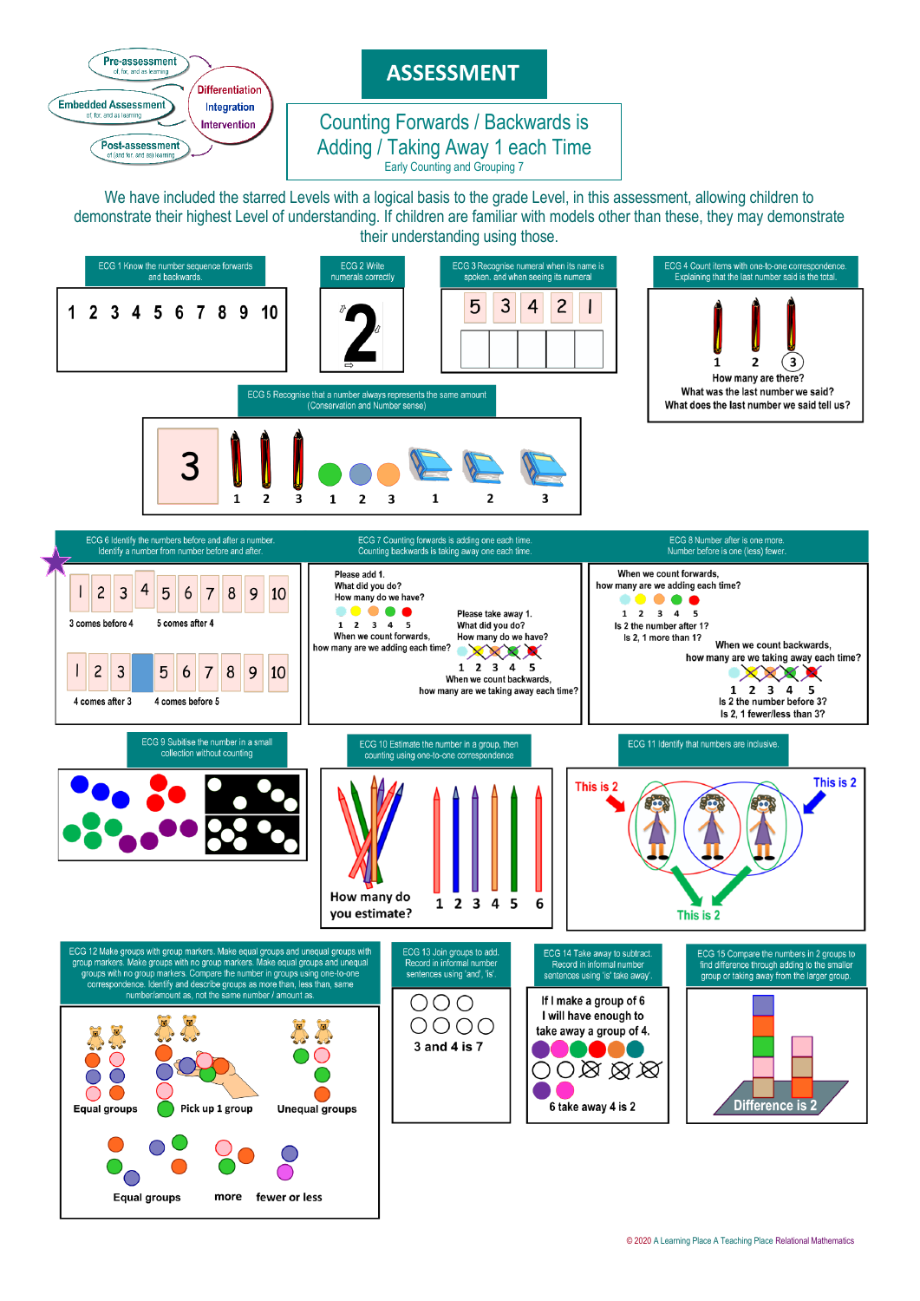

# **ASSESSMENT**

#### Adding / Taking Away 1 each Time Counting Forwards / Backwards is Early Counting and Grouping 7

We have included the starred Levels with a logical basis to the grade Level, in this assessment, allowing children to demonstrate their highest Level of understanding. If children are familiar with models other than these, they may demonstrate their understanding using those.

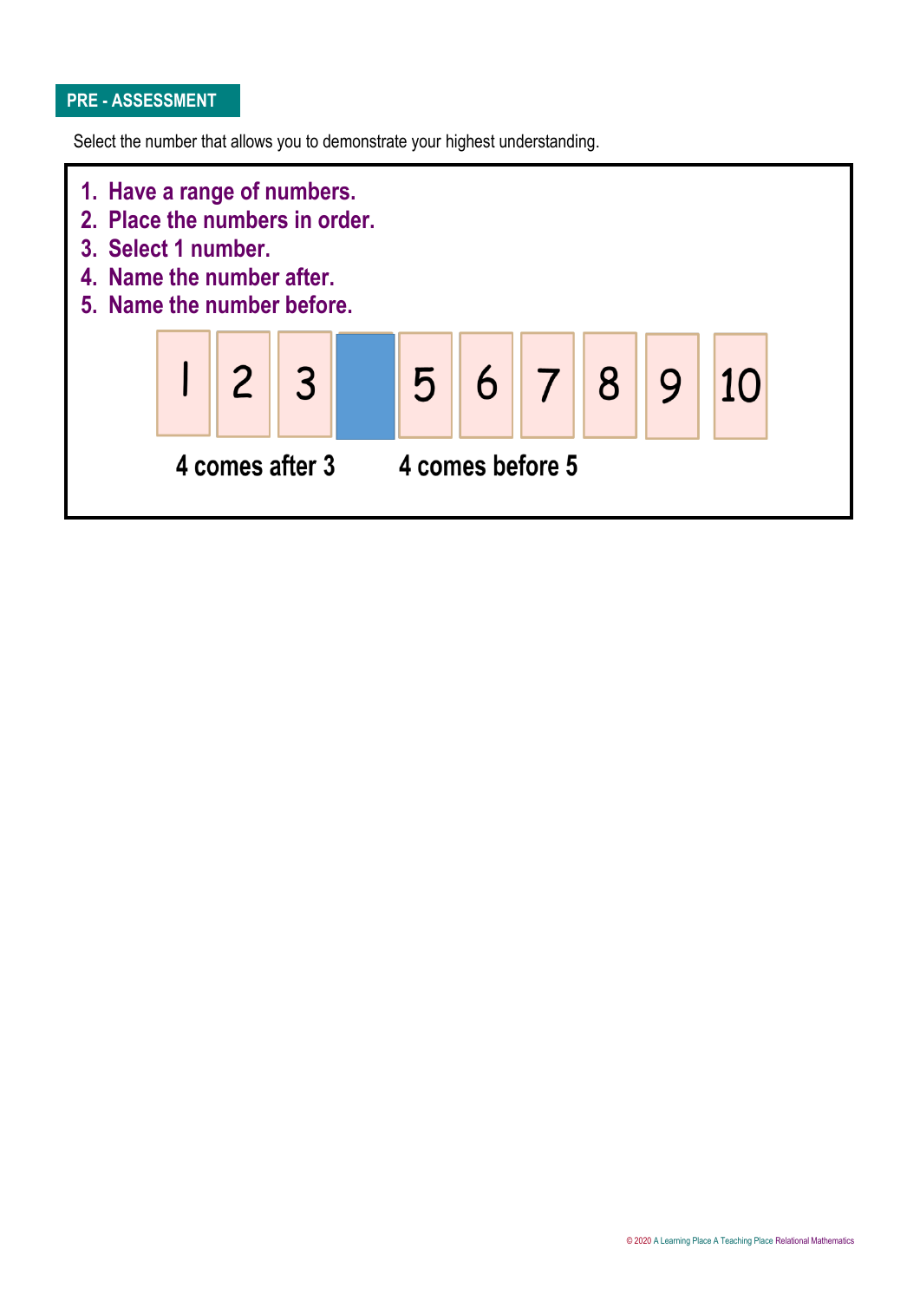## **PRE - ASSESSMENT**

Select the number that allows you to demonstrate your highest understanding.